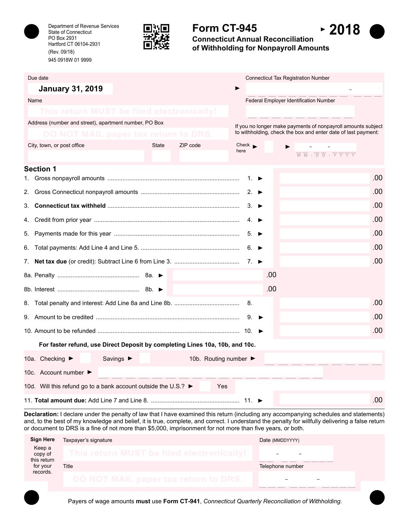

Department of Revenue Services State of Connecticut PO Box 2931 Hartford CT 06104-2931 (Rev. 09/18) 945 0918W 01 9999



# **Form CT-945**



 $-2018$ 

| Due date                                                                     |                          | <b>Connecticut Tax Registration Number</b>                                                                                                                 |
|------------------------------------------------------------------------------|--------------------------|------------------------------------------------------------------------------------------------------------------------------------------------------------|
| <b>January 31, 2019</b>                                                      |                          |                                                                                                                                                            |
| Name                                                                         |                          | <b>Federal Employer Identification Number</b>                                                                                                              |
| This return MUST be filed electronically!                                    |                          |                                                                                                                                                            |
| Address (number and street), apartment number, PO Box                        |                          | If you no longer make payments of nonpayroll amounts subject                                                                                               |
| DO NOT MAIL paper tax return                                                 |                          | to withholding, check the box and enter date of last payment:                                                                                              |
| City, town, or post office                                                   | ZIP code<br><b>State</b> | $Check \rightarrow$<br>here<br>$\overline{M}$ $\overline{M}$ - $\overline{D}$ $\overline{D}$ - $\overline{Y}$ $\overline{Y}$ $\overline{Y}$ $\overline{Y}$ |
|                                                                              |                          |                                                                                                                                                            |
| <b>Section 1</b>                                                             |                          | .00<br>1. $\blacktriangleright$                                                                                                                            |
|                                                                              |                          | .00<br>2. $\blacktriangleright$                                                                                                                            |
|                                                                              |                          | .00<br>$3. \triangleright$                                                                                                                                 |
| 4.                                                                           |                          | .00<br>$4. \triangleright$                                                                                                                                 |
|                                                                              |                          | .00<br>$5. \triangleright$                                                                                                                                 |
|                                                                              |                          | .00<br>6. ►                                                                                                                                                |
|                                                                              |                          | .00                                                                                                                                                        |
|                                                                              |                          | .00                                                                                                                                                        |
|                                                                              |                          | .00                                                                                                                                                        |
|                                                                              |                          | .00<br>8.                                                                                                                                                  |
|                                                                              |                          | .00<br>9.                                                                                                                                                  |
|                                                                              |                          | .00                                                                                                                                                        |
| For faster refund, use Direct Deposit by completing Lines 10a, 10b, and 10c. |                          |                                                                                                                                                            |
| 10a. Checking ▶<br>Savings $\blacktriangleright$                             |                          | 10b. Routing number ▶                                                                                                                                      |
| 10c. Account number $\blacktriangleright$                                    |                          |                                                                                                                                                            |
| 10d. Will this refund go to a bank account outside the U.S.? ►               |                          | <b>Yes</b>                                                                                                                                                 |
|                                                                              |                          | .00                                                                                                                                                        |

**Declaration:** I declare under the penalty of law that I have examined this return (including any accompanying schedules and statements) and, to the best of my knowledge and belief, it is true, complete, and correct. I understand the penalty for willfully delivering a false return or document to DRS is a fine of not more than \$5,000, imprisonment for not more than five years, or both.

| <b>Sign Here</b>                 | Taxpayer's signature                      | Date (MMDDYYYY)  |
|----------------------------------|-------------------------------------------|------------------|
| Keep a<br>copy of<br>this return | This return MUST be filed electronically! |                  |
| for your                         | Title                                     | Telephone number |
| records.                         | DO NOT MAIL paper tax return to DRS.      |                  |
|                                  |                                           |                  |
|                                  |                                           |                  |

Payers of wage amounts **must** use **Form CT-941**, *Connecticut Quarterly Reconciliation of Withholding*.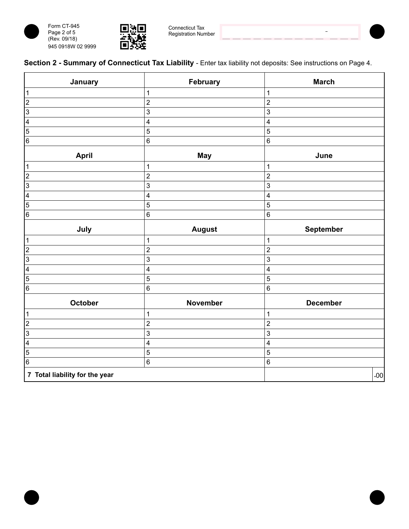





Connecticut Tax Registration Number



 $\bar{ }$ 

| January                        | February                | <b>March</b>             |
|--------------------------------|-------------------------|--------------------------|
| $\overline{1}$                 | $\mathbf{1}$            | $\mathbf 1$              |
| $\overline{2}$                 | $\boldsymbol{2}$        | $\sqrt{2}$               |
| $\overline{3}$                 | $\mathbf{3}$            | 3                        |
| $\overline{4}$                 | $\overline{\mathbf{4}}$ | $\overline{\mathcal{A}}$ |
| $\overline{5}$                 | 5                       | $\overline{5}$           |
| $\overline{6}$                 | 6                       | $6\phantom{1}6$          |
| <b>April</b>                   | <b>May</b>              | June                     |
| $\mathbf{1}$                   | $\mathbf{1}$            | $\mathbf 1$              |
| $\overline{2}$                 | $\overline{2}$          | $\boldsymbol{2}$         |
| $\overline{3}$                 | 3                       | 3                        |
| $\overline{4}$                 | $\overline{\mathbf{4}}$ | 4                        |
| $\overline{5}$                 | $\sqrt{5}$              | 5                        |
| $\overline{6}$                 | $\,6$                   | $\,6\,$                  |
| July                           | <b>August</b>           | September                |
| $\mathbf{1}$                   | $\mathbf{1}$            | $\mathbf{1}$             |
| $\overline{2}$                 | $\overline{\mathbf{c}}$ | $\sqrt{2}$               |
| $\overline{3}$                 | $\mathsf 3$             | 3                        |
| $\overline{\mathbf{4}}$        | 4                       | 4                        |
| $\overline{5}$                 | 5                       | 5                        |
| $\overline{6}$                 | $\,6$                   | $6\phantom{1}6$          |
| October                        | November                | December                 |
| $\mathbf{1}$                   | $\mathbf{1}$            | $\mathbf 1$              |
| $\overline{2}$                 | $\overline{2}$          | $\overline{2}$           |
| $\overline{3}$                 | 3                       | 3                        |
| $\overline{\mathbf{4}}$        | $\overline{\mathbf{4}}$ | $\overline{\mathbf{4}}$  |
| $\overline{5}$                 | 5                       | 5                        |
| $\overline{6}$                 | 6                       | $\,6\,$                  |
| 7 Total liability for the year |                         | .00                      |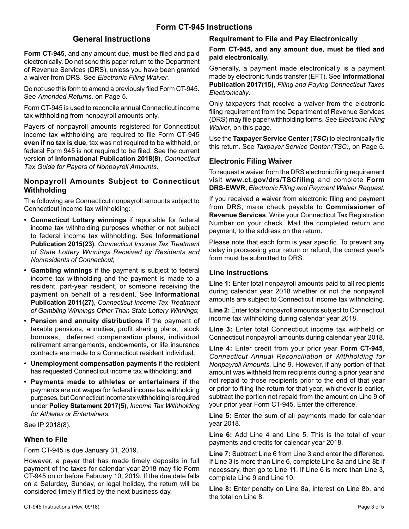#### **General Instructions**

**Form CT-945**, and any amount due, **must** be filed and paid electronically. Do not send this paper return to the Department of Revenue Services (DRS), unless you have been granted a waiver from DRS. See *Electronic Filing Waiver*.

Do not use this form to amend a previously filed Form CT-945. See *Amended Returns,* on Page 5.

Form CT-945 is used to reconcile annual Connecticut income tax withholding from nonpayroll amounts only.

Payers of nonpayroll amounts registered for Connecticut income tax withholding are required to file Form CT-945 **even if no tax is due**, tax was not required to be withheld, or federal Form 945 is not required to be filed. See the current version of **Informational Publication 2018(8)**, *Connecticut Tax Guide for Payers of Nonpayroll Amounts*.

### **Nonpayroll Amounts Subject to Connecticut Withholding**

The following are Connecticut nonpayroll amounts subject to Connecticut income tax withholding:

- **• Connecticut Lottery winnings** if reportable for federal income tax withholding purposes whether or not subject to federal income tax withholding. See **Informational Publication 2015(23)**, *Connecticut Income Tax Treatment of State Lottery Winnings Received by Residents and Nonresidents of Connecticut*;
- **• Gambling winnings** if the payment is subject to federal income tax withholding and the payment is made to a resident, part-year resident, or someone receiving the payment on behalf of a resident. See **Informational Publication 2011(27)**, *Connecticut Income Tax Treatment of Gambling Winnings Other Than State Lottery Winnings*;
- **• Pension and annuity distributions** if the payment of taxable pensions, annuities, profit sharing plans, stock bonuses, deferred compensation plans, individual retirement arrangements, endowments, or life insurance contracts are made to a Connecticut resident individual.
- **• Unemployment compensation payments** if the recipient has requested Connecticut income tax withholding; **and**
- **• Payments made to athletes or entertainers** if the payments are not wages for federal income tax withholding purposes, but Connecticut income tax withholding is required under **Policy Statement 2017(5)**, *Income Tax Withholding for Athletes or Entertainers*.

See IP 2018(8).

#### **When to File**

Form CT-945 is due January 31, 2019.

However, a payer that has made timely deposits in full payment of the taxes for calendar year 2018 may file Form CT-945 on or before February 10, 2019. If the due date falls on a Saturday, Sunday, or legal holiday, the return will be considered timely if filed by the next business day.

#### **Requirement to File and Pay Electronically**

**Form CT-945, and any amount due, must be filed and paid electronically.**

Generally, a payment made electronically is a payment made by electronic funds transfer (EFT). See **Informational Publication 2017(15)**, *Filing and Paying Connecticut Taxes Electronically*.

Only taxpayers that receive a waiver from the electronic filing requirement from the Department of Revenue Services (DRS) may file paper withholding forms. See *Electronic Filing Waiver*, on this page.

Use the **Taxpayer Service Center** (*TSC*) to electronically file this return. See *Taxpayer Service Center (TSC)*, on Page 5.

### **Electronic Filing Waiver**

To request a waiver from the DRS electronic filing requirement visit **www.ct.gov/drs/TSCfiling** and complete **Form DRS-EWVR**, *Electronic Filing and Payment Waiver Request*.

If you received a waiver from electronic filing and payment from DRS, make check payable to **Commissioner of Revenue Services**. Write your Connecticut Tax Registration Number on your check. Mail the completed return and payment, to the address on the return.

Please note that each form is year specific. To prevent any delay in processing your return or refund, the correct year's form must be submitted to DRS.

#### **Line Instructions**

**Line 1:** Enter total nonpayroll amounts paid to all recipients during calendar year 2018 whether or not the nonpayroll amounts are subject to Connecticut income tax withholding.

**Line 2:** Enter total nonpayroll amounts subject to Connecticut income tax withholding during calendar year 2018.

**Line 3:** Enter total Connecticut income tax withheld on Connecticut nonpayroll amounts during calendar year 2018.

**Line 4:** Enter credit from your prior year **Form CT-945**, *Connecticut Annual Reconciliation of Withholding for Nonpayroll Amounts*, Line 9. However, if any portion of that amount was withheld from recipients during a prior year and not repaid to those recipients prior to the end of that year or prior to filing the return for that year, whichever is earlier, subtract the portion not repaid from the amount on Line 9 of your prior year Form CT-945. Enter the difference.

**Line 5:** Enter the sum of all payments made for calendar year 2018.

**Line 6:** Add Line 4 and Line 5. This is the total of your payments and credits for calendar year 2018.

**Line 7:** Subtract Line 6 from Line 3 and enter the difference. If Line 3 is more than Line 6, complete Line 8a and Line 8b if necessary, then go to Line 11. If Line 6 is more than Line 3, complete Line 9 and Line 10.

**Line 8:** Enter penalty on Line 8a, interest on Line 8b, and the total on Line 8.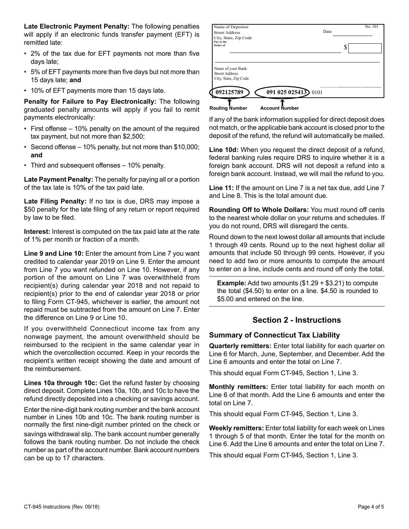**Late Electronic Payment Penalty:** The following penalties will apply if an electronic funds transfer payment (EFT) is remitted late:

- 2% of the tax due for EFT payments not more than five days late;
- 5% of EFT payments more than five days but not more than 15 days late; **and**
- 10% of EFT payments more than 15 days late.

**Penalty for Failure to Pay Electronically:** The following graduated penalty amounts will apply if you fail to remit payments electronically:

- First offense 10% penalty on the amount of the required tax payment, but not more than \$2,500;
- Second offense 10% penalty, but not more than \$10,000; **and**
- Third and subsequent offenses 10% penalty.

**Late Payment Penalty:** The penalty for paying all or a portion of the tax late is 10% of the tax paid late.

**Late Filing Penalty:** If no tax is due, DRS may impose a \$50 penalty for the late filing of any return or report required by law to be filed.

**Interest:** Interest is computed on the tax paid late at the rate of 1% per month or fraction of a month.

**Line 9 and Line 10:** Enter the amount from Line 7 you want credited to calendar year 2019 on Line 9. Enter the amount from Line 7 you want refunded on Line 10. However, if any portion of the amount on Line 7 was overwithheld from recipient(s) during calendar year 2018 and not repaid to recipient(s) prior to the end of calendar year 2018 or prior to filing Form CT-945, whichever is earlier, the amount not repaid must be subtracted from the amount on Line 7. Enter the difference on Line 9 or Line 10.

If you overwithheld Connecticut income tax from any nonwage payment, the amount overwithheld should be reimbursed to the recipient in the same calendar year in which the overcollection occurred. Keep in your records the recipient's written receipt showing the date and amount of the reimbursement.

**Lines 10a through 10c:** Get the refund faster by choosing direct deposit. Complete Lines 10a, 10b, and 10c to have the refund directly deposited into a checking or savings account.

Enter the nine-digit bank routing number and the bank account number in Lines 10b and 10c. The bank routing number is normally the first nine-digit number printed on the check or savings withdrawal slip. The bank account number generally follows the bank routing number. Do not include the check number as part of the account number. Bank account numbers can be up to 17 characters.

| Date<br>◐<br>Φ |
|----------------|
|                |
|                |
|                |
|                |
|                |
|                |
|                |
|                |

If any of the bank information supplied for direct deposit does not match, or the applicable bank account is closed prior to the deposit of the refund, the refund will automatically be mailed.

**Line 10d:** When you request the direct deposit of a refund, federal banking rules require DRS to inquire whether it is a foreign bank account. DRS will not deposit a refund into a foreign bank account. Instead, we will mail the refund to you.

**Line 11:** If the amount on Line 7 is a net tax due, add Line 7 and Line 8. This is the total amount due.

**Rounding Off to Whole Dollars:** You must round off cents to the nearest whole dollar on your returns and schedules. If you do not round, DRS will disregard the cents.

Round down to the next lowest dollar all amounts that include 1 through 49 cents. Round up to the next highest dollar all amounts that include 50 through 99 cents. However, if you need to add two or more amounts to compute the amount to enter on a line, include cents and round off only the total.

**Example:** Add two amounts (\$1.29 + \$3.21) to compute the total (\$4.50) to enter on a line. \$4.50 is rounded to \$5.00 and entered on the line.

#### **Section 2 - Instructions**

#### **Summary of Connecticut Tax Liability**

**Quarterly remitters:** Enter total liability for each quarter on Line 6 for March, June, September, and December. Add the Line 6 amounts and enter the total on Line 7.

This should equal Form CT-945, Section 1, Line 3.

**Monthly remitters:** Enter total liability for each month on Line 6 of that month. Add the Line 6 amounts and enter the total on Line 7.

This should equal Form CT-945, Section 1, Line 3.

**Weekly remitters:** Enter total liability for each week on Lines 1 through 5 of that month. Enter the total for the month on Line 6. Add the Line 6 amounts and enter the total on Line 7.

This should equal Form CT-945, Section 1, Line 3.